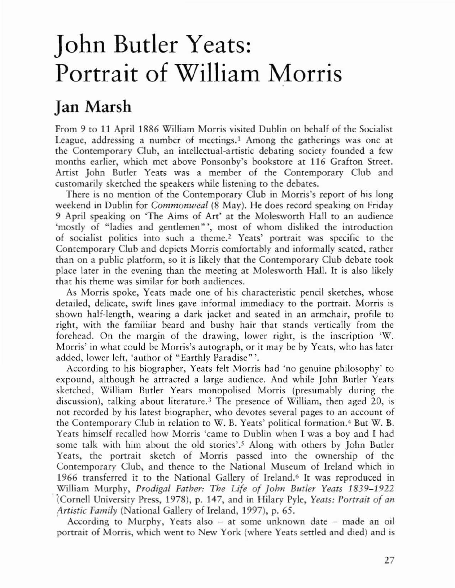## John Butler Yeats: Portrait of William Morris

## Jan Marsh

From 9 to 11 April 1886 William Morris visited Dublin on behalf of the Socialist League, addressing a number of meetings.<sup>1</sup> Among the gatherings was one at the Contemporary Club, an intellectual-artistic debating society founded a few months earlier, which met above Ponsonby's bookstore at 116 Grafton Street. Artist John Butler Years was a member of the Contemporary Club and customarily sketched the speakers while listening to the debates.

There is no mention of the Contemporary Club in Morris's report of his long weekend in Dublin for *Commonweal* (8 May). He does record speaking on Friday 9 April speaking on 'The Aims of Art' at the Molesworth Hall to an audience 'mostly of "ladies and gentlemen"', most of whom disliked the introduction of socialist politics into such a theme.2 Years' portrait was specific to the Contemporary Club and depicts Morris comfortably and informally seated, rather rhan on a public plarform, so ir is likely that rhe Contemporary Club debare rook place later in the evening than the meeting at Molesworth Hall. it is also likely that his theme was similar for both audiences.

As Morris spoke, Yeats made one of his characteristic pencil sketches, whose detailed, delicate, swift lines gave informal immediacy to the portrait. Morris is shown half-length, wearing a dark jacket and seated in an armchair, profile to right, with the familiar beard and bushy hair that stands vertically from the forehead. On the margin of the drawing, lower right, is the inscription 'W. Morris' in what could be Morris's autograph, or it may be by Yeats, who has later added, lower left, 'author of "Earthly Paradisc" '.

According to his biographer, Yeats felt Morris had 'no genuine philosophy' to expound, although he attracted a large audience. And while John Butler Yeats sketched, William Butler Yeats monopolised Morris (presumably during the discussion), talking about literature.<sup>3</sup> The presence of William, then aged 20, is not recorded by his latest biographer, who devotes several pages to an account of the Contemporary Club in relation to W. B. Yeats' political formation. <sup>4</sup> But W. B. Yeats himself recalled how Morris 'came to Dublin when I was a boy and I had some talk with him about the old stories'.<sup>5</sup> Along with others by John Butler Yeats, the portrait sketch of Morris passed into the ownership of the Contemporary Club, and thence to the National Museum of Ireland which in 1966 transferred it to the National Gallery of Ireland.<sup>6</sup> It was reproduced in William Murphy, *Prodigal Father: The Life* of *Johll Blitler Yeats 1839-1922* (Cornell University Press, 1978), p. 147, and in Hilary Pyle, *Yeats: Porrrair* of *all Artistic Family* (National Gallery of Ireland, 1997), p. 65.

According to Murphy, Yeats also - at some unknown date - made an oil portrait of Morris, which went to New York (where Yeats settled and died) and is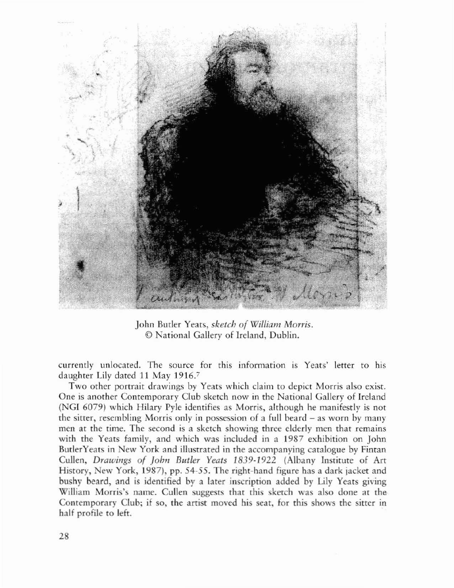

John Butler Yeats, *sketch of William Morris.* © National Gallery of lreland, Dublin.

currendy unlocated, The source for this information is Yeats' letter to his daughter Lily dated lJ May 1916-'

Two other portrait drawings by Yeats which claim to depict Morris also exist. One is another Contemporary Club sketch now in rhe Narional Gallery of Ireland (NGI 6079) which Hilary Pyle identifies as Morris, alrhough he manifestly is not rhe sitter, resembling Morris only in possession of a full beard - as worn by many men at the time. The second is a sketch showing three elderly men that remains with the Yeats family, and which was included in a 1987 exhibition on John ButlerYeats in New York and illustrated in the accompanying caralogue by Finran Cullen, *Drawings of John Butler Yeats 1839-1922* (Albany Institute of Art History, New York, 1987), pp. 54-55. The right-hand figure has a dark jacket and bushy beard, and is identified by a later inscription added by Lily Yeats giving William Morris's name. Cullen suggests that this sketch was also done at the Contemporary Club; if so, the artist moved his seat, for this shows the sitter in half profile to left.